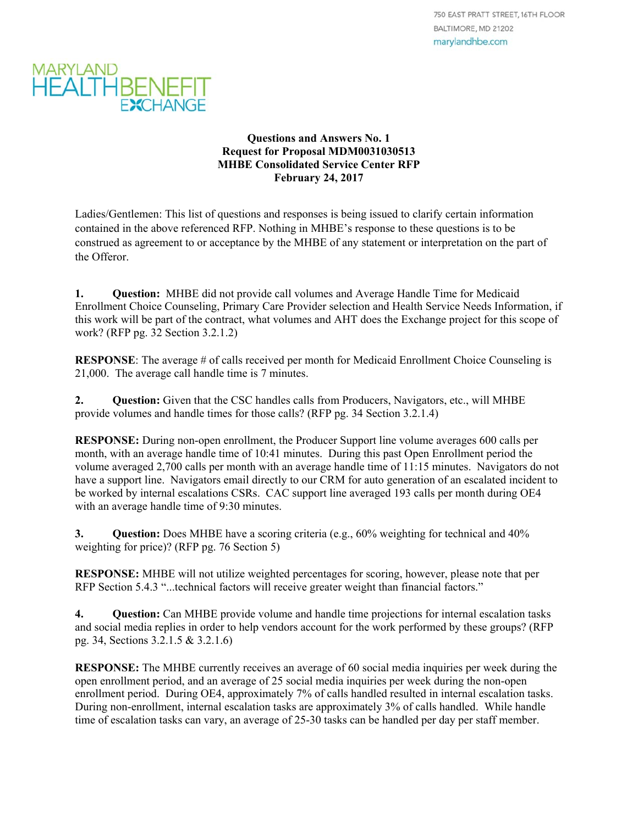

## **Questions and Answers No. 1 Request for Proposal MDM0031030513 MHBE Consolidated Service Center RFP February 24, 2017**

Ladies/Gentlemen: This list of questions and responses is being issued to clarify certain information contained in the above referenced RFP. Nothing in MHBE's response to these questions is to be construed as agreement to or acceptance by the MHBE of any statement or interpretation on the part of the Offeror.

**1. Question:** MHBE did not provide call volumes and Average Handle Time for Medicaid Enrollment Choice Counseling, Primary Care Provider selection and Health Service Needs Information, if this work will be part of the contract, what volumes and AHT does the Exchange project for this scope of work? (RFP pg. 32 Section 3.2.1.2)

**RESPONSE:** The average # of calls received per month for Medicaid Enrollment Choice Counseling is 21,000. The average call handle time is 7 minutes.

**2. Question:** Given that the CSC handles calls from Producers, Navigators, etc., will MHBE provide volumes and handle times for those calls? (RFP pg. 34 Section 3.2.1.4)

**RESPONSE:** During non-open enrollment, the Producer Support line volume averages 600 calls per month, with an average handle time of 10:41 minutes. During this past Open Enrollment period the volume averaged 2,700 calls per month with an average handle time of 11:15 minutes. Navigators do not have a support line. Navigators email directly to our CRM for auto generation of an escalated incident to be worked by internal escalations CSRs. CAC support line averaged 193 calls per month during OE4 with an average handle time of 9:30 minutes.

**3. Question:** Does MHBE have a scoring criteria (e.g., 60% weighting for technical and 40% weighting for price)? (RFP pg. 76 Section 5)

**RESPONSE:** MHBE will not utilize weighted percentages for scoring, however, please note that per RFP Section 5.4.3 "...technical factors will receive greater weight than financial factors."

**4. Question:** Can MHBE provide volume and handle time projections for internal escalation tasks and social media replies in order to help vendors account for the work performed by these groups? (RFP pg. 34, Sections 3.2.1.5 & 3.2.1.6)

**RESPONSE:** The MHBE currently receives an average of 60 social media inquiries per week during the open enrollment period, and an average of 25 social media inquiries per week during the non-open enrollment period. During OE4, approximately 7% of calls handled resulted in internal escalation tasks. During non-enrollment, internal escalation tasks are approximately 3% of calls handled. While handle time of escalation tasks can vary, an average of 25-30 tasks can be handled per day per staff member.